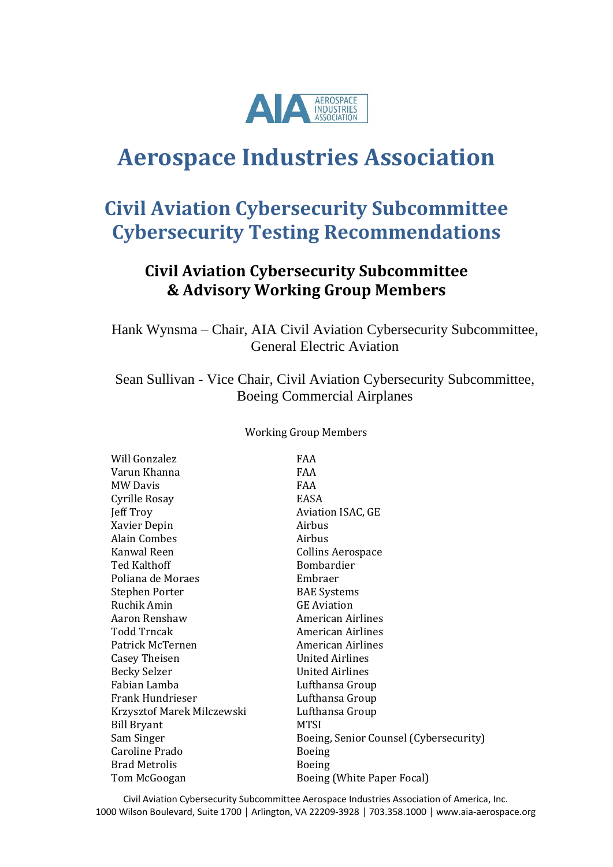

# **Aerospace Industries Association**

# **Civil Aviation Cybersecurity Subcommittee Cybersecurity Testing Recommendations**

# **Civil Aviation Cybersecurity Subcommittee & Advisory Working Group Members**

Hank Wynsma – Chair, AIA Civil Aviation Cybersecurity Subcommittee, General Electric Aviation

Sean Sullivan - Vice Chair, Civil Aviation Cybersecurity Subcommittee, Boeing Commercial Airplanes

Working Group Members

| Will Gonzalez              | <b>FAA</b>                             |
|----------------------------|----------------------------------------|
| Varun Khanna               | FAA                                    |
| <b>MW Davis</b>            | <b>FAA</b>                             |
| Cyrille Rosay              | EASA                                   |
| Jeff Troy                  | <b>Aviation ISAC, GE</b>               |
| Xavier Depin               | Airbus                                 |
| Alain Combes               | Airbus                                 |
| Kanwal Reen                | <b>Collins Aerospace</b>               |
| <b>Ted Kalthoff</b>        | <b>Bombardier</b>                      |
| Poliana de Moraes          | Embraer                                |
| Stephen Porter             | <b>BAE</b> Systems                     |
| Ruchik Amin                | <b>GE</b> Aviation                     |
| Aaron Renshaw              | <b>American Airlines</b>               |
| <b>Todd Trncak</b>         | American Airlines                      |
| Patrick McTernen           | American Airlines                      |
| <b>Casey Theisen</b>       | <b>United Airlines</b>                 |
| <b>Becky Selzer</b>        | <b>United Airlines</b>                 |
| Fabian Lamba               | Lufthansa Group                        |
| Frank Hundrieser           | Lufthansa Group                        |
| Krzysztof Marek Milczewski | Lufthansa Group                        |
| <b>Bill Bryant</b>         | <b>MTSI</b>                            |
| Sam Singer                 | Boeing, Senior Counsel (Cybersecurity) |
| Caroline Prado             | Boeing                                 |
| <b>Brad Metrolis</b>       | <b>Boeing</b>                          |
| Tom McGoogan               | Boeing (White Paper Focal)             |
|                            |                                        |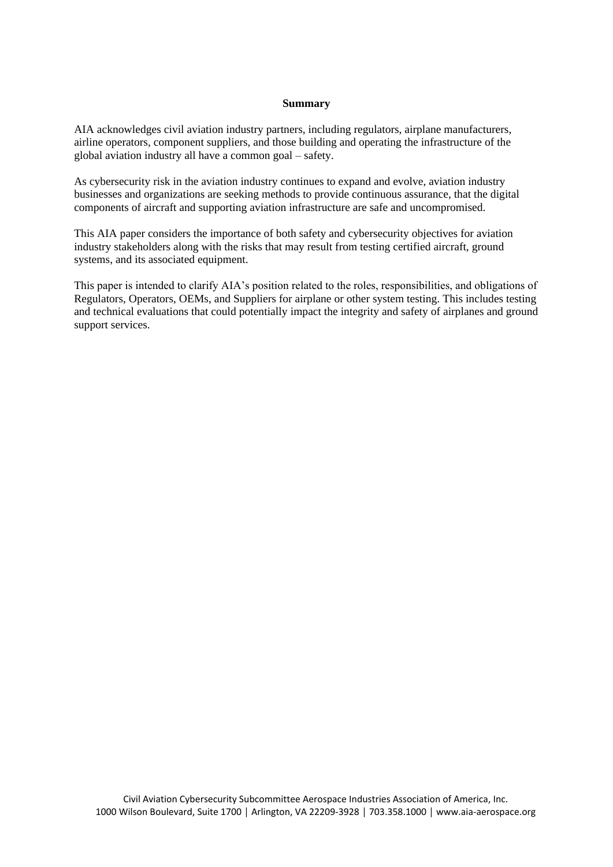#### **Summary**

AIA acknowledges civil aviation industry partners, including regulators, airplane manufacturers, airline operators, component suppliers, and those building and operating the infrastructure of the global aviation industry all have a common goal – safety.

As cybersecurity risk in the aviation industry continues to expand and evolve, aviation industry businesses and organizations are seeking methods to provide continuous assurance, that the digital components of aircraft and supporting aviation infrastructure are safe and uncompromised.

This AIA paper considers the importance of both safety and cybersecurity objectives for aviation industry stakeholders along with the risks that may result from testing certified aircraft, ground systems, and its associated equipment.

This paper is intended to clarify AIA's position related to the roles, responsibilities, and obligations of Regulators, Operators, OEMs, and Suppliers for airplane or other system testing. This includes testing and technical evaluations that could potentially impact the integrity and safety of airplanes and ground support services.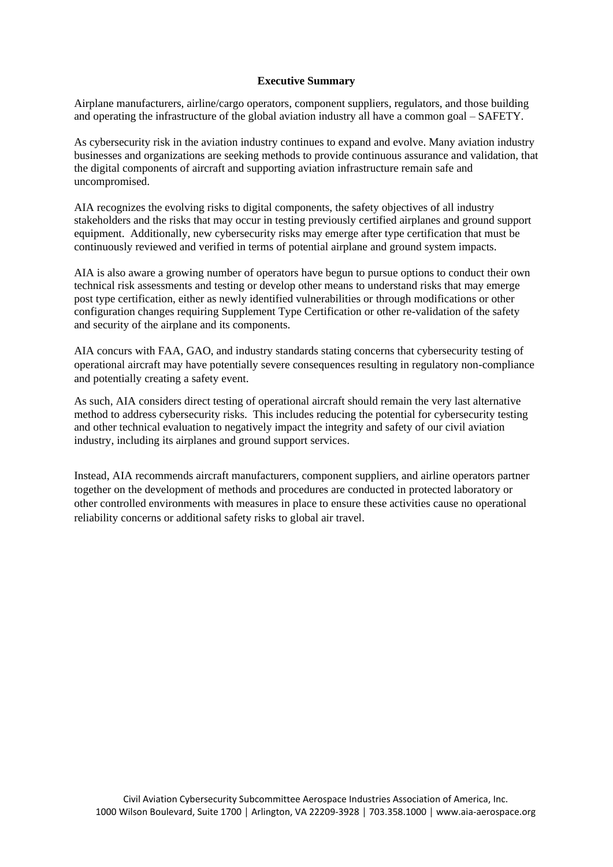#### **Executive Summary**

Airplane manufacturers, airline/cargo operators, component suppliers, regulators, and those building and operating the infrastructure of the global aviation industry all have a common goal – SAFETY.

As cybersecurity risk in the aviation industry continues to expand and evolve. Many aviation industry businesses and organizations are seeking methods to provide continuous assurance and validation, that the digital components of aircraft and supporting aviation infrastructure remain safe and uncompromised.

AIA recognizes the evolving risks to digital components, the safety objectives of all industry stakeholders and the risks that may occur in testing previously certified airplanes and ground support equipment. Additionally, new cybersecurity risks may emerge after type certification that must be continuously reviewed and verified in terms of potential airplane and ground system impacts.

AIA is also aware a growing number of operators have begun to pursue options to conduct their own technical risk assessments and testing or develop other means to understand risks that may emerge post type certification, either as newly identified vulnerabilities or through modifications or other configuration changes requiring Supplement Type Certification or other re-validation of the safety and security of the airplane and its components.

AIA concurs with FAA, GAO, and industry standards stating concerns that cybersecurity testing of operational aircraft may have potentially severe consequences resulting in regulatory non-compliance and potentially creating a safety event.

As such, AIA considers direct testing of operational aircraft should remain the very last alternative method to address cybersecurity risks. This includes reducing the potential for cybersecurity testing and other technical evaluation to negatively impact the integrity and safety of our civil aviation industry, including its airplanes and ground support services.

Instead, AIA recommends aircraft manufacturers, component suppliers, and airline operators partner together on the development of methods and procedures are conducted in protected laboratory or other controlled environments with measures in place to ensure these activities cause no operational reliability concerns or additional safety risks to global air travel.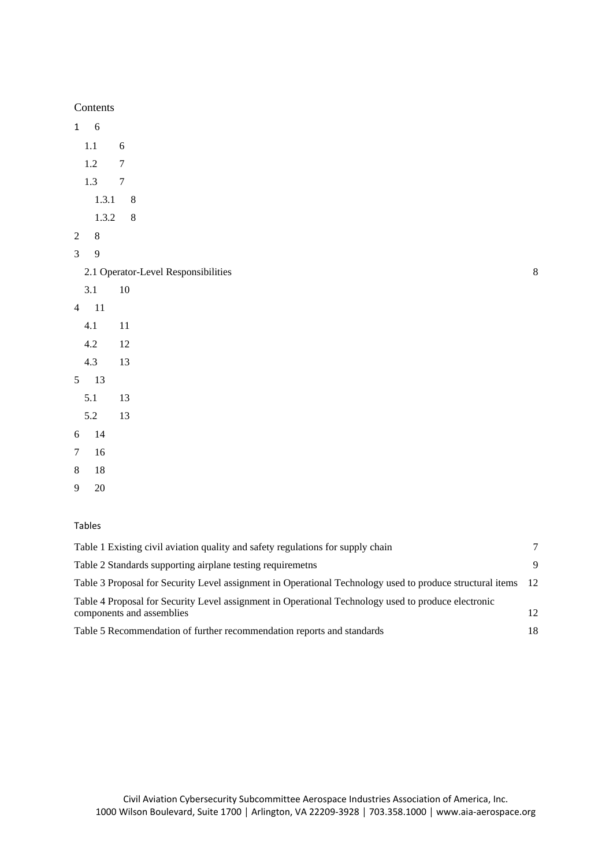Contents

[1](#page-5-0) 6 [1.1](#page-5-1) 6 [1.2](#page-6-0) 7 [1.3](#page-6-1) 7 [1.3.1](#page-7-0) 8 [1.3.2](#page-7-1) 8 [2](#page-7-2) 8 [3](#page-8-0) 9 [2.1 Operator-Level Responsibilities](#page-9-0) [8](#page-9-0) [3.1](#page-9-1) 10 [4](#page-10-0) 11 [4.1](#page-10-1) 11 [4.2](#page-11-0) 12 [4.3](#page-12-0) 13 [5](#page-12-1) 13 [5.1](#page-12-2) 13 [5.2](#page-12-3) 13 [6](#page-13-0) 14 [7](#page-15-0) 16 [8](#page-17-0) 18 [9](#page-19-0) 20

#### Tables

| Table 1 Existing civil aviation quality and safety regulations for supply chain                                                  |      |
|----------------------------------------------------------------------------------------------------------------------------------|------|
| Table 2 Standards supporting airplane testing requiremeths                                                                       | 9    |
| Table 3 Proposal for Security Level assignment in Operational Technology used to produce structural items                        | - 12 |
| Table 4 Proposal for Security Level assignment in Operational Technology used to produce electronic<br>components and assemblies | 12   |
| Table 5 Recommendation of further recommendation reports and standards                                                           | 18   |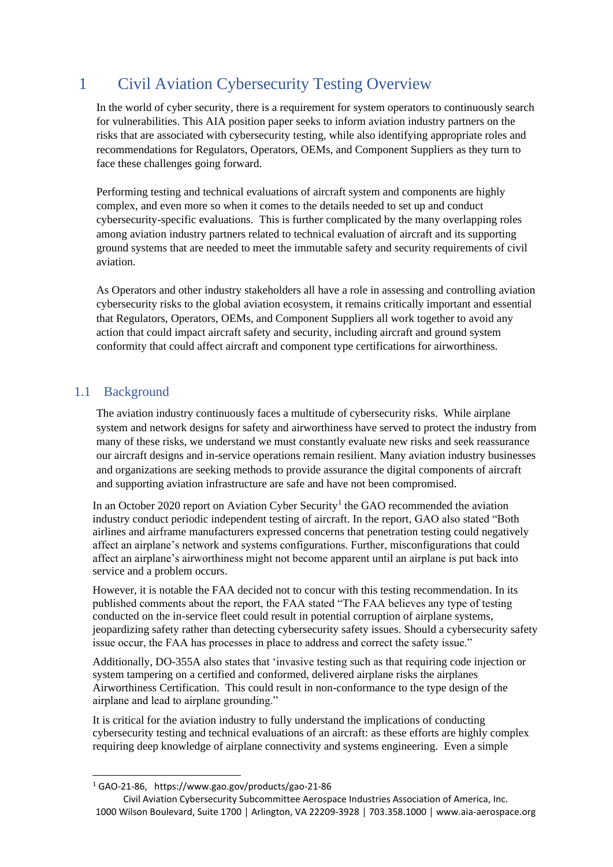# <span id="page-5-0"></span>1 Civil Aviation Cybersecurity Testing Overview

In the world of cyber security, there is a requirement for system operators to continuously search for vulnerabilities. This AIA position paper seeks to inform aviation industry partners on the risks that are associated with cybersecurity testing, while also identifying appropriate roles and recommendations for Regulators, Operators, OEMs, and Component Suppliers as they turn to face these challenges going forward.

Performing testing and technical evaluations of aircraft system and components are highly complex, and even more so when it comes to the details needed to set up and conduct cybersecurity-specific evaluations. This is further complicated by the many overlapping roles among aviation industry partners related to technical evaluation of aircraft and its supporting ground systems that are needed to meet the immutable safety and security requirements of civil aviation.

As Operators and other industry stakeholders all have a role in assessing and controlling aviation cybersecurity risks to the global aviation ecosystem, it remains critically important and essential that Regulators, Operators, OEMs, and Component Suppliers all work together to avoid any action that could impact aircraft safety and security, including aircraft and ground system conformity that could affect aircraft and component type certifications for airworthiness.

## <span id="page-5-1"></span>1.1 Background

The aviation industry continuously faces a multitude of cybersecurity risks. While airplane system and network designs for safety and airworthiness have served to protect the industry from many of these risks, we understand we must constantly evaluate new risks and seek reassurance our aircraft designs and in-service operations remain resilient. Many aviation industry businesses and organizations are seeking methods to provide assurance the digital components of aircraft and supporting aviation infrastructure are safe and have not been compromised.

In an October 2020 report on Aviation Cyber Security<sup>1</sup> the GAO recommended the aviation industry conduct periodic independent testing of aircraft. In the report, GAO also stated "Both airlines and airframe manufacturers expressed concerns that penetration testing could negatively affect an airplane's network and systems configurations. Further, misconfigurations that could affect an airplane's airworthiness might not become apparent until an airplane is put back into service and a problem occurs.

However, it is notable the FAA decided not to concur with this testing recommendation. In its published comments about the report, the FAA stated "The FAA believes any type of testing conducted on the in-service fleet could result in potential corruption of airplane systems, jeopardizing safety rather than detecting cybersecurity safety issues. Should a cybersecurity safety issue occur, the FAA has processes in place to address and correct the safety issue."

Additionally, DO-355A also states that 'invasive testing such as that requiring code injection or system tampering on a certified and conformed, delivered airplane risks the airplanes Airworthiness Certification. This could result in non-conformance to the type design of the airplane and lead to airplane grounding."

It is critical for the aviation industry to fully understand the implications of conducting cybersecurity testing and technical evaluations of an aircraft: as these efforts are highly complex requiring deep knowledge of airplane connectivity and systems engineering. Even a simple

<sup>1</sup> GAO-21-86, https://www.gao.gov/products/gao-21-86

Civil Aviation Cybersecurity Subcommittee Aerospace Industries Association of America, Inc. 1000 Wilson Boulevard, Suite 1700 │ Arlington, VA 22209-3928 │ 703.358.1000 │ www.aia-aerospace.org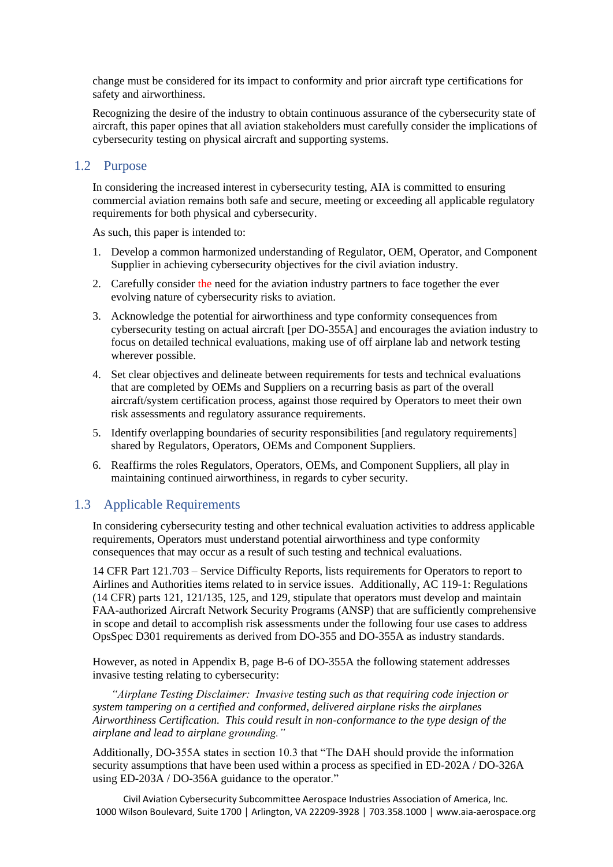change must be considered for its impact to conformity and prior aircraft type certifications for safety and airworthiness.

Recognizing the desire of the industry to obtain continuous assurance of the cybersecurity state of aircraft, this paper opines that all aviation stakeholders must carefully consider the implications of cybersecurity testing on physical aircraft and supporting systems.

### <span id="page-6-0"></span>1.2 Purpose

In considering the increased interest in cybersecurity testing, AIA is committed to ensuring commercial aviation remains both safe and secure, meeting or exceeding all applicable regulatory requirements for both physical and cybersecurity.

As such, this paper is intended to:

- 1. Develop a common harmonized understanding of Regulator, OEM, Operator, and Component Supplier in achieving cybersecurity objectives for the civil aviation industry.
- 2. Carefully consider the need for the aviation industry partners to face together the ever evolving nature of cybersecurity risks to aviation.
- 3. Acknowledge the potential for airworthiness and type conformity consequences from cybersecurity testing on actual aircraft [per DO-355A] and encourages the aviation industry to focus on detailed technical evaluations, making use of off airplane lab and network testing wherever possible.
- 4. Set clear objectives and delineate between requirements for tests and technical evaluations that are completed by OEMs and Suppliers on a recurring basis as part of the overall aircraft/system certification process, against those required by Operators to meet their own risk assessments and regulatory assurance requirements.
- 5. Identify overlapping boundaries of security responsibilities [and regulatory requirements] shared by Regulators, Operators, OEMs and Component Suppliers.
- 6. Reaffirms the roles Regulators, Operators, OEMs, and Component Suppliers, all play in maintaining continued airworthiness, in regards to cyber security.

### <span id="page-6-1"></span>1.3 Applicable Requirements

In considering cybersecurity testing and other technical evaluation activities to address applicable requirements, Operators must understand potential airworthiness and type conformity consequences that may occur as a result of such testing and technical evaluations.

14 CFR Part 121.703 – Service Difficulty Reports, lists requirements for Operators to report to Airlines and Authorities items related to in service issues. Additionally, AC 119-1: Regulations (14 CFR) parts 121, 121/135, 125, and 129, stipulate that operators must develop and maintain FAA-authorized Aircraft Network Security Programs (ANSP) that are sufficiently comprehensive in scope and detail to accomplish risk assessments under the following four use cases to address OpsSpec D301 requirements as derived from DO-355 and DO-355A as industry standards.

However, as noted in Appendix B, page B-6 of DO-355A the following statement addresses invasive testing relating to cybersecurity:

*"Airplane Testing Disclaimer: Invasive testing such as that requiring code injection or system tampering on a certified and conformed, delivered airplane risks the airplanes Airworthiness Certification. This could result in non-conformance to the type design of the airplane and lead to airplane grounding."*

Additionally, DO-355A states in section 10.3 that "The DAH should provide the information security assumptions that have been used within a process as specified in ED-202A / DO-326A using ED-203A / DO-356A guidance to the operator."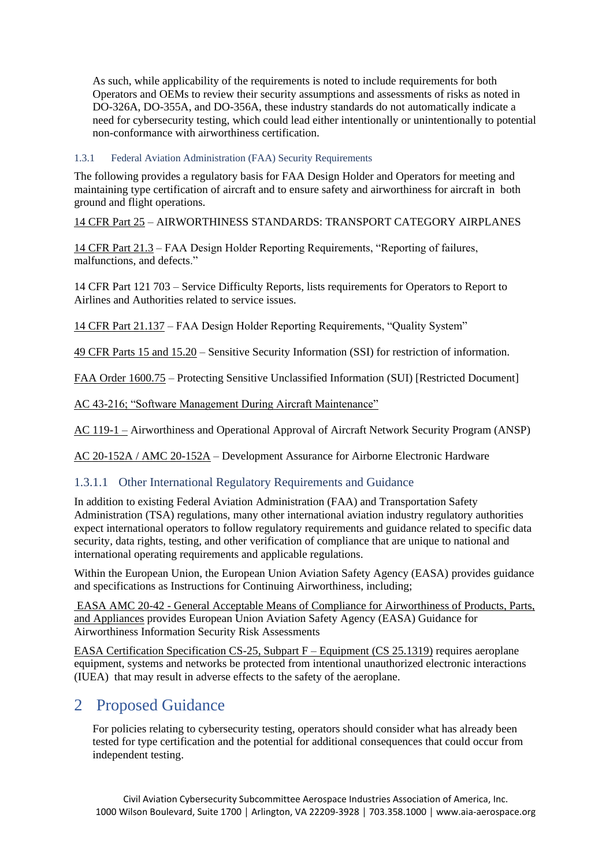As such, while applicability of the requirements is noted to include requirements for both Operators and OEMs to review their security assumptions and assessments of risks as noted in DO-326A, DO-355A, and DO-356A, these industry standards do not automatically indicate a need for cybersecurity testing, which could lead either intentionally or unintentionally to potential non-conformance with airworthiness certification.

#### <span id="page-7-0"></span>1.3.1 Federal Aviation Administration (FAA) Security Requirements

The following provides a regulatory basis for FAA Design Holder and Operators for meeting and maintaining type certification of aircraft and to ensure safety and airworthiness for aircraft in both ground and flight operations.

[14 CFR Part 25](https://www.ecfr.gov/cgi-bin/text-idx?tpl=/ecfrbrowse/Title14/14cfr25_main_02.tpl) – AIRWORTHINESS STANDARDS: TRANSPORT CATEGORY AIRPLANES

[14 CFR Part 21.3](https://www.govinfo.gov/content/pkg/CFR-2011-title14-vol1/pdf/CFR-2011-title14-vol1-sec21-3.pdf) – FAA Design Holder Reporting Requirements, "Reporting of failures, malfunctions, and defects."

14 CFR Part 121 703 – Service Difficulty Reports, lists requirements for Operators to Report to Airlines and Authorities related to service issues.

[14 CFR Part 21.137](https://www.ecfr.gov/cgi-bin/text-idx?SID=d3aa7f11470a0cf60ce034e63f800d38&mc=true&node=pt14.1.21&rgn=div5#se14.1.21_1137) – FAA Design Holder Reporting Requirements, "Quality System"

49 CFR Parts 15 and 15.20 – Sensitive Security Information (SSI) for restriction of information.

FAA Order 1600.75 – Protecting Sensitive Unclassified Information (SUI) [Restricted Document]

AC 43-216; "Software Management During Aircraft Maintenance"

AC 119-1 – Airworthiness and Operational Approval of Aircraft Network Security Program (ANSP)

<span id="page-7-1"></span>AC 20-152A / AMC 20-152A – Development Assurance for Airborne Electronic Hardware

### 1.3.1.1 Other International Regulatory Requirements and Guidance

In addition to existing Federal Aviation Administration (FAA) and Transportation Safety Administration (TSA) regulations, many other international aviation industry regulatory authorities expect international operators to follow regulatory requirements and guidance related to specific data security, data rights, testing, and other verification of compliance that are unique to national and international operating requirements and applicable regulations.

Within the European Union, the European Union Aviation Safety Agency (EASA) provides guidance and specifications as Instructions for Continuing Airworthiness, including;

EASA AMC 20-42 - General Acceptable Means of Compliance for Airworthiness of Products, Parts, and Appliances provides European Union Aviation Safety Agency (EASA) Guidance for Airworthiness Information Security Risk Assessments

EASA Certification Specification CS-25, Subpart F – Equipment (CS 25.1319) requires aeroplane equipment, systems and networks be protected from intentional unauthorized electronic interactions (IUEA) that may result in adverse effects to the safety of the aeroplane.

## <span id="page-7-2"></span>2 Proposed Guidance

For policies relating to cybersecurity testing, operators should consider what has already been tested for type certification and the potential for additional consequences that could occur from independent testing.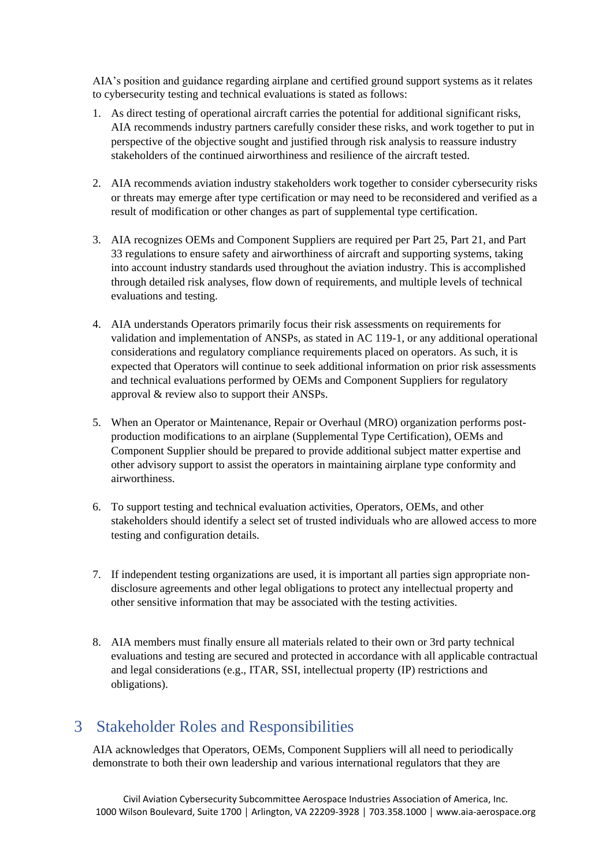AIA's position and guidance regarding airplane and certified ground support systems as it relates to cybersecurity testing and technical evaluations is stated as follows:

- 1. As direct testing of operational aircraft carries the potential for additional significant risks, AIA recommends industry partners carefully consider these risks, and work together to put in perspective of the objective sought and justified through risk analysis to reassure industry stakeholders of the continued airworthiness and resilience of the aircraft tested.
- 2. AIA recommends aviation industry stakeholders work together to consider cybersecurity risks or threats may emerge after type certification or may need to be reconsidered and verified as a result of modification or other changes as part of supplemental type certification.
- 3. AIA recognizes OEMs and Component Suppliers are required per Part 25, Part 21, and Part 33 regulations to ensure safety and airworthiness of aircraft and supporting systems, taking into account industry standards used throughout the aviation industry. This is accomplished through detailed risk analyses, flow down of requirements, and multiple levels of technical evaluations and testing.
- 4. AIA understands Operators primarily focus their risk assessments on requirements for validation and implementation of ANSPs, as stated in AC 119-1, or any additional operational considerations and regulatory compliance requirements placed on operators. As such, it is expected that Operators will continue to seek additional information on prior risk assessments and technical evaluations performed by OEMs and Component Suppliers for regulatory approval & review also to support their ANSPs.
- 5. When an Operator or Maintenance, Repair or Overhaul (MRO) organization performs postproduction modifications to an airplane (Supplemental Type Certification), OEMs and Component Supplier should be prepared to provide additional subject matter expertise and other advisory support to assist the operators in maintaining airplane type conformity and airworthiness.
- 6. To support testing and technical evaluation activities, Operators, OEMs, and other stakeholders should identify a select set of trusted individuals who are allowed access to more testing and configuration details.
- 7. If independent testing organizations are used, it is important all parties sign appropriate nondisclosure agreements and other legal obligations to protect any intellectual property and other sensitive information that may be associated with the testing activities.
- 8. AIA members must finally ensure all materials related to their own or 3rd party technical evaluations and testing are secured and protected in accordance with all applicable contractual and legal considerations (e.g., ITAR, SSI, intellectual property (IP) restrictions and obligations).

## <span id="page-8-0"></span>3 Stakeholder Roles and Responsibilities

AIA acknowledges that Operators, OEMs, Component Suppliers will all need to periodically demonstrate to both their own leadership and various international regulators that they are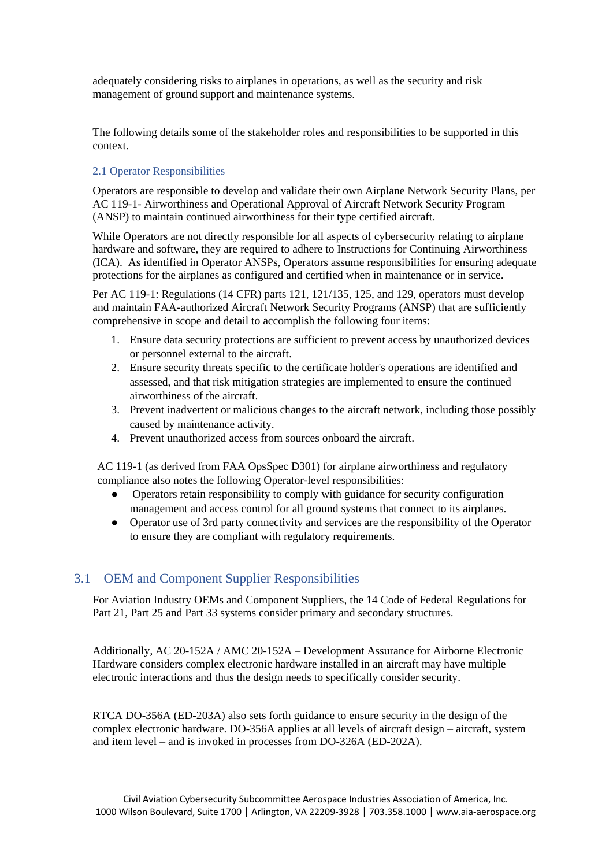adequately considering risks to airplanes in operations, as well as the security and risk management of ground support and maintenance systems.

The following details some of the stakeholder roles and responsibilities to be supported in this context.

#### <span id="page-9-0"></span>2.1 Operator Responsibilities

Operators are responsible to develop and validate their own Airplane Network Security Plans, per AC 119-1- Airworthiness and Operational Approval of Aircraft Network Security Program (ANSP) to maintain continued airworthiness for their type certified aircraft.

While Operators are not directly responsible for all aspects of cybersecurity relating to airplane hardware and software, they are required to adhere to Instructions for Continuing Airworthiness (ICA). As identified in Operator ANSPs, Operators assume responsibilities for ensuring adequate protections for the airplanes as configured and certified when in maintenance or in service.

Per AC 119-1: Regulations (14 CFR) parts 121, 121/135, 125, and 129, operators must develop and maintain FAA-authorized Aircraft Network Security Programs (ANSP) that are sufficiently comprehensive in scope and detail to accomplish the following four items:

- 1. Ensure data security protections are sufficient to prevent access by unauthorized devices or personnel external to the aircraft.
- 2. Ensure security threats specific to the certificate holder's operations are identified and assessed, and that risk mitigation strategies are implemented to ensure the continued airworthiness of the aircraft.
- 3. Prevent inadvertent or malicious changes to the aircraft network, including those possibly caused by maintenance activity.
- 4. Prevent unauthorized access from sources onboard the aircraft.

AC 119-1 (as derived from FAA OpsSpec D301) for airplane airworthiness and regulatory compliance also notes the following Operator-level responsibilities:

- Operators retain responsibility to comply with guidance for security configuration management and access control for all ground systems that connect to its airplanes.
- Operator use of 3rd party connectivity and services are the responsibility of the Operator to ensure they are compliant with regulatory requirements.

## <span id="page-9-1"></span>3.1 OEM and Component Supplier Responsibilities

For Aviation Industry OEMs and Component Suppliers, the 14 Code of Federal Regulations for Part 21, Part 25 and Part 33 systems consider primary and secondary structures.

Additionally, AC 20-152A / AMC 20-152A – Development Assurance for Airborne Electronic Hardware considers complex electronic hardware installed in an aircraft may have multiple electronic interactions and thus the design needs to specifically consider security.

RTCA DO-356A (ED-203A) also sets forth guidance to ensure security in the design of the complex electronic hardware. DO-356A applies at all levels of aircraft design – aircraft, system and item level – and is invoked in processes from DO-326A (ED-202A).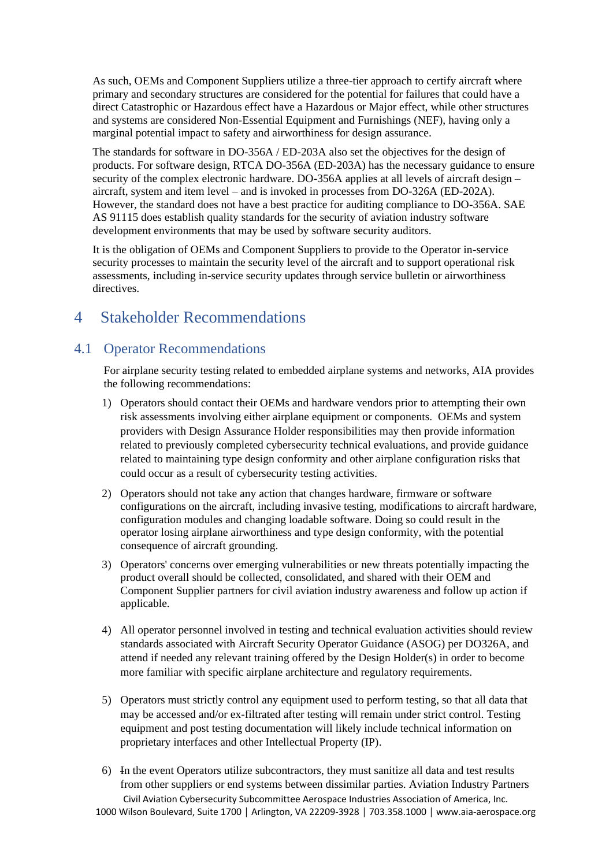As such, OEMs and Component Suppliers utilize a three-tier approach to certify aircraft where primary and secondary structures are considered for the potential for failures that could have a direct Catastrophic or Hazardous effect have a Hazardous or Major effect, while other structures and systems are considered Non-Essential Equipment and Furnishings (NEF), having only a marginal potential impact to safety and airworthiness for design assurance.

The standards for software in DO-356A / ED-203A also set the objectives for the design of products. For software design, RTCA DO-356A (ED-203A) has the necessary guidance to ensure security of the complex electronic hardware. DO-356A applies at all levels of aircraft design – aircraft, system and item level – and is invoked in processes from DO-326A (ED-202A). However, the standard does not have a best practice for auditing compliance to DO-356A. SAE AS 91115 does establish quality standards for the security of aviation industry software development environments that may be used by software security auditors.

It is the obligation of OEMs and Component Suppliers to provide to the Operator in-service security processes to maintain the security level of the aircraft and to support operational risk assessments, including in-service security updates through service bulletin or airworthiness directives.

## <span id="page-10-0"></span>4 Stakeholder Recommendations

## <span id="page-10-1"></span>4.1 Operator Recommendations

For airplane security testing related to embedded airplane systems and networks, AIA provides the following recommendations:

- 1) Operators should contact their OEMs and hardware vendors prior to attempting their own risk assessments involving either airplane equipment or components. OEMs and system providers with Design Assurance Holder responsibilities may then provide information related to previously completed cybersecurity technical evaluations, and provide guidance related to maintaining type design conformity and other airplane configuration risks that could occur as a result of cybersecurity testing activities.
- 2) Operators should not take any action that changes hardware, firmware or software configurations on the aircraft, including invasive testing, modifications to aircraft hardware, configuration modules and changing loadable software. Doing so could result in the operator losing airplane airworthiness and type design conformity, with the potential consequence of aircraft grounding.
- 3) Operators' concerns over emerging vulnerabilities or new threats potentially impacting the product overall should be collected, consolidated, and shared with their OEM and Component Supplier partners for civil aviation industry awareness and follow up action if applicable.
- 4) All operator personnel involved in testing and technical evaluation activities should review standards associated with Aircraft Security Operator Guidance (ASOG) per DO326A, and attend if needed any relevant training offered by the Design Holder(s) in order to become more familiar with specific airplane architecture and regulatory requirements.
- 5) Operators must strictly control any equipment used to perform testing, so that all data that may be accessed and/or ex-filtrated after testing will remain under strict control. Testing equipment and post testing documentation will likely include technical information on proprietary interfaces and other Intellectual Property (IP).
- Civil Aviation Cybersecurity Subcommittee Aerospace Industries Association of America, Inc. 6) In the event Operators utilize subcontractors, they must sanitize all data and test results from other suppliers or end systems between dissimilar parties. Aviation Industry Partners

1000 Wilson Boulevard, Suite 1700 │ Arlington, VA 22209-3928 │ 703.358.1000 │ www.aia-aerospace.org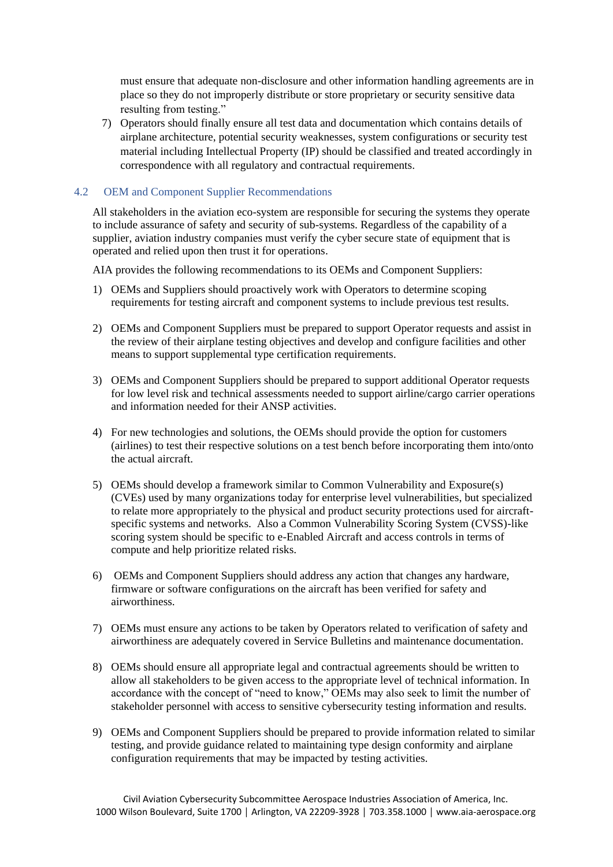must ensure that adequate non-disclosure and other information handling agreements are in place so they do not improperly distribute or store proprietary or security sensitive data resulting from testing."

7) Operators should finally ensure all test data and documentation which contains details of airplane architecture, potential security weaknesses, system configurations or security test material including Intellectual Property (IP) should be classified and treated accordingly in correspondence with all regulatory and contractual requirements.

#### <span id="page-11-0"></span>4.2 OEM and Component Supplier Recommendations

All stakeholders in the aviation eco-system are responsible for securing the systems they operate to include assurance of safety and security of sub-systems. Regardless of the capability of a supplier, aviation industry companies must verify the cyber secure state of equipment that is operated and relied upon then trust it for operations.

AIA provides the following recommendations to its OEMs and Component Suppliers:

- 1) OEMs and Suppliers should proactively work with Operators to determine scoping requirements for testing aircraft and component systems to include previous test results.
- 2) OEMs and Component Suppliers must be prepared to support Operator requests and assist in the review of their airplane testing objectives and develop and configure facilities and other means to support supplemental type certification requirements.
- 3) OEMs and Component Suppliers should be prepared to support additional Operator requests for low level risk and technical assessments needed to support airline/cargo carrier operations and information needed for their ANSP activities.
- 4) For new technologies and solutions, the OEMs should provide the option for customers (airlines) to test their respective solutions on a test bench before incorporating them into/onto the actual aircraft.
- 5) OEMs should develop a framework similar to Common Vulnerability and Exposure(s) (CVEs) used by many organizations today for enterprise level vulnerabilities, but specialized to relate more appropriately to the physical and product security protections used for aircraftspecific systems and networks. Also a Common Vulnerability Scoring System (CVSS)-like scoring system should be specific to e-Enabled Aircraft and access controls in terms of compute and help prioritize related risks.
- 6) OEMs and Component Suppliers should address any action that changes any hardware, firmware or software configurations on the aircraft has been verified for safety and airworthiness.
- 7) OEMs must ensure any actions to be taken by Operators related to verification of safety and airworthiness are adequately covered in Service Bulletins and maintenance documentation.
- 8) OEMs should ensure all appropriate legal and contractual agreements should be written to allow all stakeholders to be given access to the appropriate level of technical information. In accordance with the concept of "need to know," OEMs may also seek to limit the number of stakeholder personnel with access to sensitive cybersecurity testing information and results.
- 9) OEMs and Component Suppliers should be prepared to provide information related to similar testing, and provide guidance related to maintaining type design conformity and airplane configuration requirements that may be impacted by testing activities.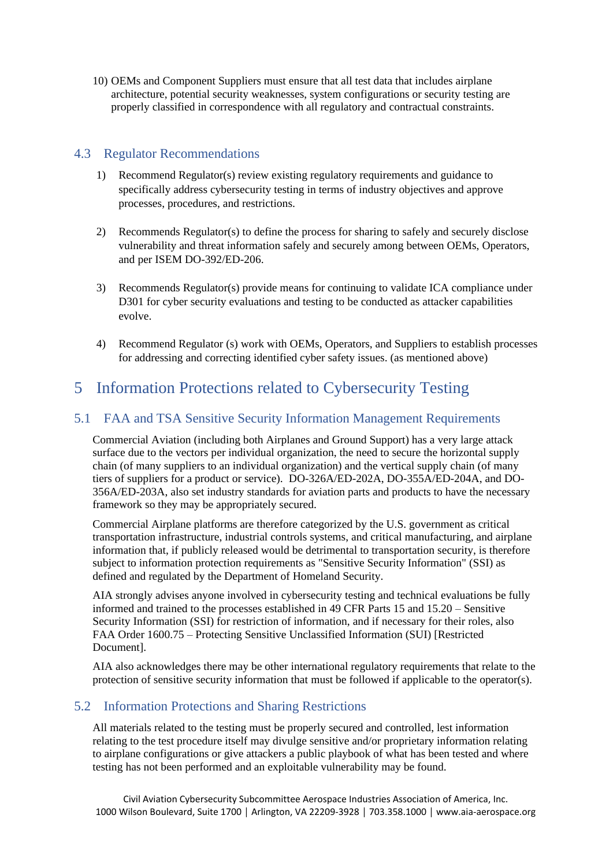10) OEMs and Component Suppliers must ensure that all test data that includes airplane architecture, potential security weaknesses, system configurations or security testing are properly classified in correspondence with all regulatory and contractual constraints.

### <span id="page-12-0"></span>4.3 Regulator Recommendations

- 1) Recommend Regulator(s) review existing regulatory requirements and guidance to specifically address cybersecurity testing in terms of industry objectives and approve processes, procedures, and restrictions.
- 2) Recommends Regulator(s) to define the process for sharing to safely and securely disclose vulnerability and threat information safely and securely among between OEMs, Operators, and per ISEM DO-392/ED-206.
- 3) Recommends Regulator(s) provide means for continuing to validate ICA compliance under D301 for cyber security evaluations and testing to be conducted as attacker capabilities evolve.
- 4) Recommend Regulator (s) work with OEMs, Operators, and Suppliers to establish processes for addressing and correcting identified cyber safety issues. (as mentioned above)

## <span id="page-12-1"></span>5 Information Protections related to Cybersecurity Testing

## <span id="page-12-2"></span>5.1 FAA and TSA Sensitive Security Information Management Requirements

Commercial Aviation (including both Airplanes and Ground Support) has a very large attack surface due to the vectors per individual organization, the need to secure the horizontal supply chain (of many suppliers to an individual organization) and the vertical supply chain (of many tiers of suppliers for a product or service). DO-326A/ED-202A, DO-355A/ED-204A, and DO-356A/ED-203A, also set industry standards for aviation parts and products to have the necessary framework so they may be appropriately secured.

Commercial Airplane platforms are therefore categorized by the U.S. government as critical transportation infrastructure, industrial controls systems, and critical manufacturing, and airplane information that, if publicly released would be detrimental to transportation security, is therefore subject to information protection requirements as "Sensitive Security Information" (SSI) as defined and regulated by the Department of Homeland Security.

AIA strongly advises anyone involved in cybersecurity testing and technical evaluations be fully informed and trained to the processes established in 49 CFR Parts 15 and 15.20 – Sensitive Security Information (SSI) for restriction of information, and if necessary for their roles, also FAA Order 1600.75 – Protecting Sensitive Unclassified Information (SUI) [Restricted Document].

AIA also acknowledges there may be other international regulatory requirements that relate to the protection of sensitive security information that must be followed if applicable to the operator(s).

## <span id="page-12-3"></span>5.2 Information Protections and Sharing Restrictions

All materials related to the testing must be properly secured and controlled, lest information relating to the test procedure itself may divulge sensitive and/or proprietary information relating to airplane configurations or give attackers a public playbook of what has been tested and where testing has not been performed and an exploitable vulnerability may be found.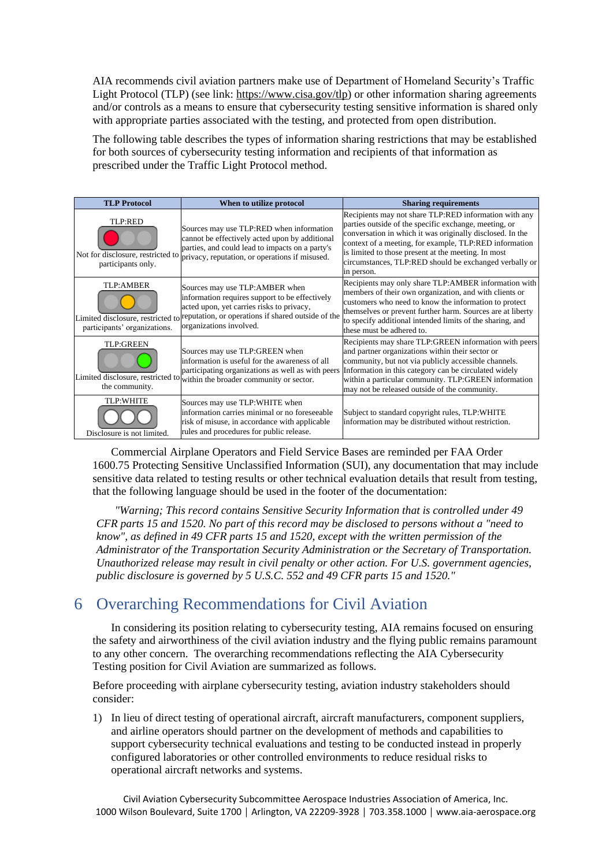AIA recommends civil aviation partners make use of Department of Homeland Security's Traffic Light Protocol (TLP) (see link: [https://www.cisa.gov/tlp\)](https://www.cisa.gov/tlp) or other information sharing agreements and/or controls as a means to ensure that cybersecurity testing sensitive information is shared only with appropriate parties associated with the testing, and protected from open distribution.

The following table describes the types of information sharing restrictions that may be established for both sources of cybersecurity testing information and recipients of that information as prescribed under the Traffic Light Protocol method.

| <b>TLP Protocol</b>                                                | When to utilize protocol                                                                                                                                                                                                                          | <b>Sharing requirements</b>                                                                                                                                                                                                                                                                                                                                          |
|--------------------------------------------------------------------|---------------------------------------------------------------------------------------------------------------------------------------------------------------------------------------------------------------------------------------------------|----------------------------------------------------------------------------------------------------------------------------------------------------------------------------------------------------------------------------------------------------------------------------------------------------------------------------------------------------------------------|
| TLP:RED<br>Not for disclosure, restricted to<br>participants only. | Sources may use TLP:RED when information<br>cannot be effectively acted upon by additional<br>parties, and could lead to impacts on a party's<br>privacy, reputation, or operations if misused.                                                   | Recipients may not share TLP:RED information with any<br>parties outside of the specific exchange, meeting, or<br>conversation in which it was originally disclosed. In the<br>context of a meeting, for example, TLP:RED information<br>is limited to those present at the meeting. In most<br>circumstances, TLP:RED should be exchanged verbally or<br>in person. |
| TLP:AMBER<br>participants' organizations.                          | Sources may use TLP: AMBER when<br>information requires support to be effectively<br>acted upon, yet carries risks to privacy,<br>Limited disclosure, restricted to reputation, or operations if shared outside of the<br>organizations involved. | Recipients may only share TLP: AMBER information with<br>members of their own organization, and with clients or<br>customers who need to know the information to protect<br>themselves or prevent further harm. Sources are at liberty<br>to specify additional intended limits of the sharing, and<br>these must be adhered to.                                     |
| <b>TLP:GREEN</b><br>the community.                                 | Sources may use TLP:GREEN when<br>information is useful for the awareness of all<br>participating organizations as well as with peers<br>Limited disclosure, restricted to within the broader community or sector.                                | Recipients may share TLP: GREEN information with peers<br>and partner organizations within their sector or<br>community, but not via publicly accessible channels.<br>Information in this category can be circulated widely<br>within a particular community. TLP:GREEN information<br>may not be released outside of the community.                                 |
| <b>TLP:WHITE</b><br>Disclosure is not limited.                     | Sources may use TLP:WHITE when<br>information carries minimal or no foreseeable<br>risk of misuse, in accordance with applicable<br>rules and procedures for public release.                                                                      | Subject to standard copyright rules, TLP: WHITE<br>information may be distributed without restriction.                                                                                                                                                                                                                                                               |

Commercial Airplane Operators and Field Service Bases are reminded per FAA Order 1600.75 Protecting Sensitive Unclassified Information (SUI), any documentation that may include sensitive data related to testing results or other technical evaluation details that result from testing, that the following language should be used in the footer of the documentation:

*"Warning; This record contains Sensitive Security Information that is controlled under 49 CFR parts 15 and 1520. No part of this record may be disclosed to persons without a "need to know", as defined in 49 CFR parts 15 and 1520, except with the written permission of the Administrator of the Transportation Security Administration or the Secretary of Transportation. Unauthorized release may result in civil penalty or other action. For U.S. government agencies, public disclosure is governed by 5 U.S.C. 552 and 49 CFR parts 15 and 1520."* 

## <span id="page-13-0"></span>6 Overarching Recommendations for Civil Aviation

In considering its position relating to cybersecurity testing, AIA remains focused on ensuring the safety and airworthiness of the civil aviation industry and the flying public remains paramount to any other concern. The overarching recommendations reflecting the AIA Cybersecurity Testing position for Civil Aviation are summarized as follows.

Before proceeding with airplane cybersecurity testing, aviation industry stakeholders should consider:

1) In lieu of direct testing of operational aircraft, aircraft manufacturers, component suppliers, and airline operators should partner on the development of methods and capabilities to support cybersecurity technical evaluations and testing to be conducted instead in properly configured laboratories or other controlled environments to reduce residual risks to operational aircraft networks and systems.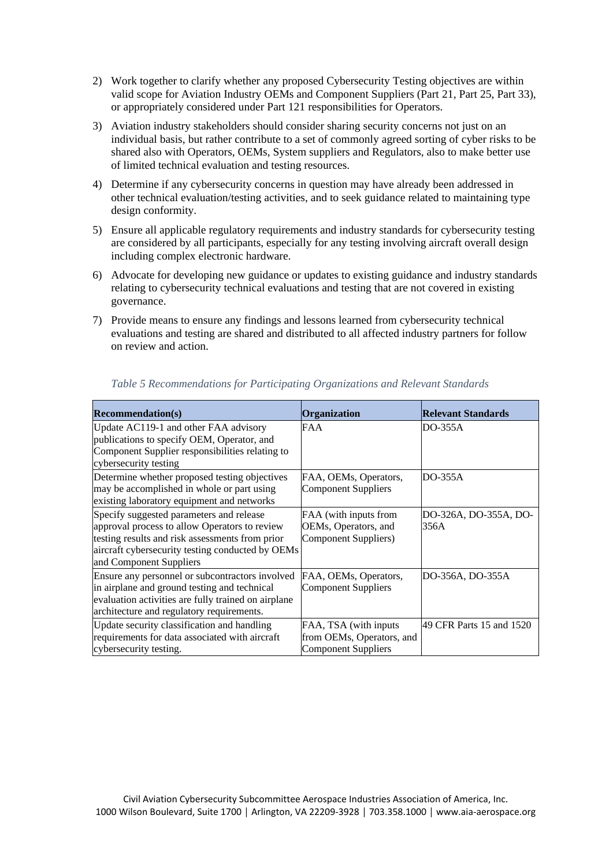- 2) Work together to clarify whether any proposed Cybersecurity Testing objectives are within valid scope for Aviation Industry OEMs and Component Suppliers (Part 21, Part 25, Part 33), or appropriately considered under Part 121 responsibilities for Operators.
- 3) Aviation industry stakeholders should consider sharing security concerns not just on an individual basis, but rather contribute to a set of commonly agreed sorting of cyber risks to be shared also with Operators, OEMs, System suppliers and Regulators, also to make better use of limited technical evaluation and testing resources.
- 4) Determine if any cybersecurity concerns in question may have already been addressed in other technical evaluation/testing activities, and to seek guidance related to maintaining type design conformity.
- 5) Ensure all applicable regulatory requirements and industry standards for cybersecurity testing are considered by all participants, especially for any testing involving aircraft overall design including complex electronic hardware.
- 6) Advocate for developing new guidance or updates to existing guidance and industry standards relating to cybersecurity technical evaluations and testing that are not covered in existing governance.
- 7) Provide means to ensure any findings and lessons learned from cybersecurity technical evaluations and testing are shared and distributed to all affected industry partners for follow on review and action.

| <b>Recommendation(s)</b>                                                                                                                                                                                                    | Organization                                                              | <b>Relevant Standards</b>     |
|-----------------------------------------------------------------------------------------------------------------------------------------------------------------------------------------------------------------------------|---------------------------------------------------------------------------|-------------------------------|
| Update AC119-1 and other FAA advisory<br>publications to specify OEM, Operator, and<br>Component Supplier responsibilities relating to<br>cybersecurity testing                                                             | FAA                                                                       | DO-355A                       |
| Determine whether proposed testing objectives<br>may be accomplished in whole or part using<br>existing laboratory equipment and networks                                                                                   | FAA, OEMs, Operators,<br>Component Suppliers                              | DO-355A                       |
| Specify suggested parameters and release<br>approval process to allow Operators to review<br>testing results and risk assessments from prior<br>aircraft cybersecurity testing conducted by OEMs<br>and Component Suppliers | FAA (with inputs from<br>OEMs, Operators, and<br>Component Suppliers)     | DO-326A, DO-355A, DO-<br>356A |
| Ensure any personnel or subcontractors involved<br>in airplane and ground testing and technical<br>evaluation activities are fully trained on airplane<br>architecture and regulatory requirements.                         | FAA, OEMs, Operators,<br>Component Suppliers                              | DO-356A, DO-355A              |
| Update security classification and handling<br>requirements for data associated with aircraft<br>cybersecurity testing.                                                                                                     | FAA, TSA (with inputs<br>from OEMs, Operators, and<br>Component Suppliers | 49 CFR Parts 15 and 1520      |

#### *Table 5 Recommendations for Participating Organizations and Relevant Standards*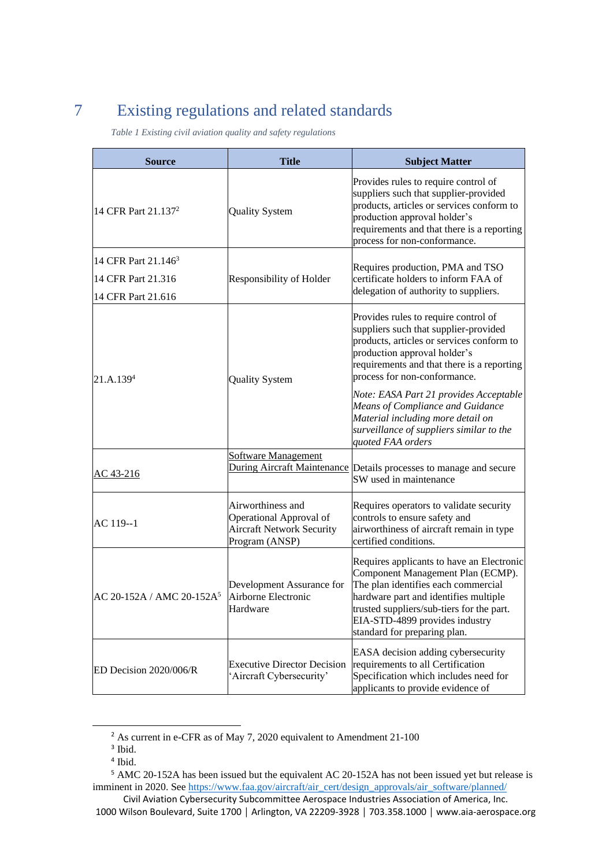# <span id="page-15-0"></span>7 Existing regulations and related standards

*Table 1 Existing civil aviation quality and safety regulations*

| <b>Source</b>                                                               | <b>Title</b>                                                                                       | <b>Subject Matter</b>                                                                                                                                                                                                                                                                                                                                                                                                        |
|-----------------------------------------------------------------------------|----------------------------------------------------------------------------------------------------|------------------------------------------------------------------------------------------------------------------------------------------------------------------------------------------------------------------------------------------------------------------------------------------------------------------------------------------------------------------------------------------------------------------------------|
| 14 CFR Part 21.137 <sup>2</sup>                                             | <b>Quality System</b>                                                                              | Provides rules to require control of<br>suppliers such that supplier-provided<br>products, articles or services conform to<br>production approval holder's<br>requirements and that there is a reporting<br>process for non-conformance.                                                                                                                                                                                     |
| 14 CFR Part 21.146 <sup>3</sup><br>14 CFR Part 21.316<br>14 CFR Part 21.616 | Responsibility of Holder                                                                           | Requires production, PMA and TSO<br>certificate holders to inform FAA of<br>delegation of authority to suppliers.                                                                                                                                                                                                                                                                                                            |
| 21.A.139 <sup>4</sup>                                                       | <b>Quality System</b>                                                                              | Provides rules to require control of<br>suppliers such that supplier-provided<br>products, articles or services conform to<br>production approval holder's<br>requirements and that there is a reporting<br>process for non-conformance.<br>Note: EASA Part 21 provides Acceptable<br>Means of Compliance and Guidance<br>Material including more detail on<br>surveillance of suppliers similar to the<br>quoted FAA orders |
| AC 43-216                                                                   | <b>Software Management</b>                                                                         | During Aircraft Maintenance Details processes to manage and secure<br>SW used in maintenance                                                                                                                                                                                                                                                                                                                                 |
| AC 119--1                                                                   | Airworthiness and<br>Operational Approval of<br><b>Aircraft Network Security</b><br>Program (ANSP) | Requires operators to validate security<br>controls to ensure safety and<br>airworthiness of aircraft remain in type<br>certified conditions.                                                                                                                                                                                                                                                                                |
| AC 20-152A / AMC 20-152A <sup>5</sup>                                       | Development Assurance for<br>Airborne Electronic<br>Hardware                                       | Requires applicants to have an Electronic<br>Component Management Plan (ECMP).<br>The plan identifies each commercial<br>hardware part and identifies multiple<br>trusted suppliers/sub-tiers for the part.<br>EIA-STD-4899 provides industry<br>standard for preparing plan.                                                                                                                                                |
| ED Decision 2020/006/R                                                      | <b>Executive Director Decision</b><br>'Aircraft Cybersecurity'                                     | EASA decision adding cybersecurity<br>requirements to all Certification<br>Specification which includes need for<br>applicants to provide evidence of                                                                                                                                                                                                                                                                        |

<sup>&</sup>lt;sup>2</sup> As current in e-CFR as of May 7, 2020 equivalent to Amendment 21-100

<sup>3</sup> Ibid.

<sup>4</sup> Ibid.

<sup>5</sup> AMC 20-152A has been issued but the equivalent AC 20-152A has not been issued yet but release is imminent in 2020. See [https://www.faa.gov/aircraft/air\\_cert/design\\_approvals/air\\_software/planned/](https://www.faa.gov/aircraft/air_cert/design_approvals/air_software/planned/)

Civil Aviation Cybersecurity Subcommittee Aerospace Industries Association of America, Inc. 1000 Wilson Boulevard, Suite 1700 │ Arlington, VA 22209-3928 │ 703.358.1000 │ www.aia-aerospace.org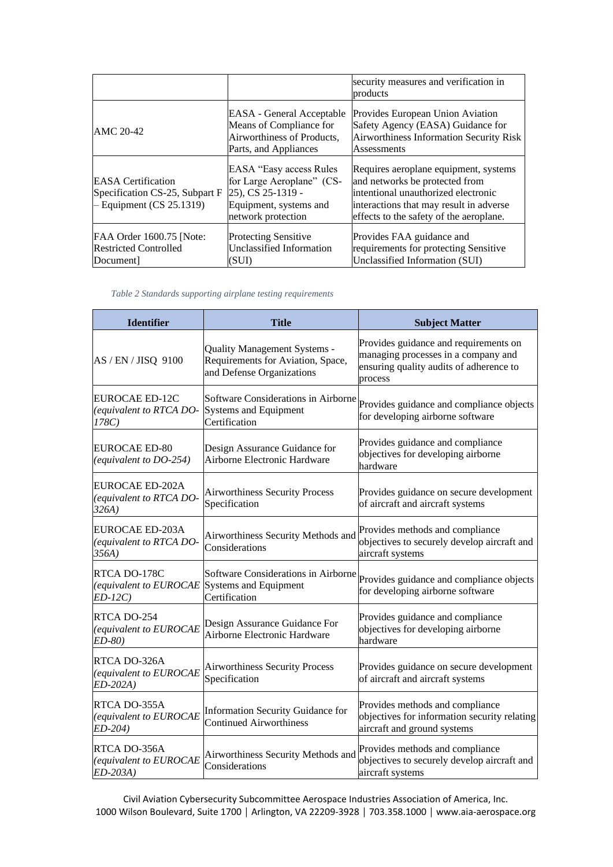|                                                                                       |                                                                                                                            | security measures and verification in<br>products                                                                                                                                                    |
|---------------------------------------------------------------------------------------|----------------------------------------------------------------------------------------------------------------------------|------------------------------------------------------------------------------------------------------------------------------------------------------------------------------------------------------|
| AMC 20-42                                                                             | <b>EASA</b> - General Acceptable<br>Means of Compliance for<br>Airworthiness of Products,<br>Parts, and Appliances         | Provides European Union Aviation<br>Safety Agency (EASA) Guidance for<br>Airworthiness Information Security Risk<br><b>Assessments</b>                                                               |
| <b>EASA</b> Certification<br>Specification CS-25, Subpart F<br>Equipment (CS 25.1319) | EASA "Easy access Rules"<br>for Large Aeroplane" (CS-<br>25), CS 25-1319 -<br>Equipment, systems and<br>network protection | Requires aeroplane equipment, systems<br>and networks be protected from<br>intentional unauthorized electronic<br>interactions that may result in adverse<br>effects to the safety of the aeroplane. |
| FAA Order 1600.75 [Note:<br><b>Restricted Controlled</b><br>Document                  | <b>Protecting Sensitive</b><br>Unclassified Information<br>(SUI)                                                           | Provides FAA guidance and<br>requirements for protecting Sensitive<br>Unclassified Information (SUI)                                                                                                 |

*Table 2 Standards supporting airplane testing requirements*

| <b>Identifier</b>                                          | <b>Title</b>                                                                                          | <b>Subject Matter</b>                                                                                                              |
|------------------------------------------------------------|-------------------------------------------------------------------------------------------------------|------------------------------------------------------------------------------------------------------------------------------------|
| AS / EN / JISQ 9100                                        | <b>Quality Management Systems -</b><br>Requirements for Aviation, Space,<br>and Defense Organizations | Provides guidance and requirements on<br>managing processes in a company and<br>ensuring quality audits of adherence to<br>process |
| <b>EUROCAE ED-12C</b><br>(equivalent to RTCA DO-<br>178C)  | Software Considerations in Airborne<br><b>Systems and Equipment</b><br>Certification                  | Provides guidance and compliance objects<br>for developing airborne software                                                       |
| <b>EUROCAE ED-80</b><br>(equivalent to DO-254)             | Design Assurance Guidance for<br><b>Airborne Electronic Hardware</b>                                  | Provides guidance and compliance<br>objectives for developing airborne<br>hardware                                                 |
| <b>EUROCAE ED-202A</b><br>(equivalent to RTCA DO-<br>326A) | <b>Airworthiness Security Process</b><br>Specification                                                | Provides guidance on secure development<br>of aircraft and aircraft systems                                                        |
| EUROCAE ED-203A<br>(equivalent to RTCA DO-<br>356A)        | Airworthiness Security Methods and<br>Considerations                                                  | Provides methods and compliance<br>objectives to securely develop aircraft and<br>aircraft systems                                 |
| RTCA DO-178C<br>(equivalent to EUROCAE<br>$ED-12C$         | Software Considerations in Airborne<br>Systems and Equipment<br>Certification                         | Provides guidance and compliance objects<br>for developing airborne software                                                       |
| RTCA DO-254<br>(equivalent to EUROCAE<br>ED-80)            | Design Assurance Guidance For<br>Airborne Electronic Hardware                                         | Provides guidance and compliance<br>objectives for developing airborne<br>hardware                                                 |
| RTCA DO-326A<br>(equivalent to EUROCAE<br>$ED-202A)$       | <b>Airworthiness Security Process</b><br>Specification                                                | Provides guidance on secure development<br>of aircraft and aircraft systems                                                        |
| RTCA DO-355A<br>(equivalent to EUROCAE<br>ED-204)          | <b>Information Security Guidance for</b><br><b>Continued Airworthiness</b>                            | Provides methods and compliance<br>objectives for information security relating<br>aircraft and ground systems                     |
| RTCA DO-356A<br>(equivalent to EUROCAE<br>$ED-203A)$       | Airworthiness Security Methods and<br>Considerations                                                  | Provides methods and compliance<br>objectives to securely develop aircraft and<br>aircraft systems                                 |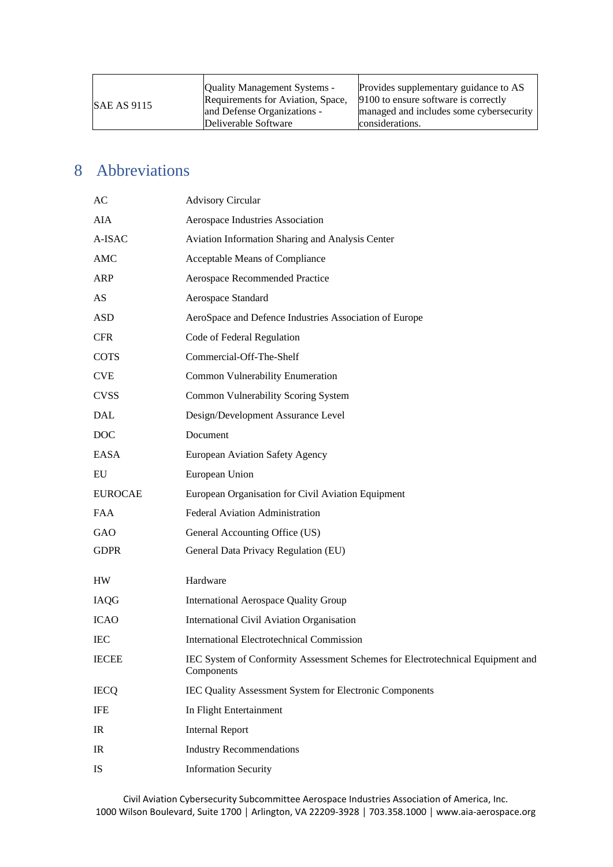# <span id="page-17-0"></span>8 Abbreviations

| AC             | <b>Advisory Circular</b>                                                                     |
|----------------|----------------------------------------------------------------------------------------------|
| AIA            | Aerospace Industries Association                                                             |
| A-ISAC         | Aviation Information Sharing and Analysis Center                                             |
| AMC            | Acceptable Means of Compliance                                                               |
| ARP            | Aerospace Recommended Practice                                                               |
| AS             | Aerospace Standard                                                                           |
| <b>ASD</b>     | AeroSpace and Defence Industries Association of Europe                                       |
| <b>CFR</b>     | Code of Federal Regulation                                                                   |
| <b>COTS</b>    | Commercial-Off-The-Shelf                                                                     |
| <b>CVE</b>     | Common Vulnerability Enumeration                                                             |
| <b>CVSS</b>    | Common Vulnerability Scoring System                                                          |
| <b>DAL</b>     | Design/Development Assurance Level                                                           |
| <b>DOC</b>     | Document                                                                                     |
| EASA           | <b>European Aviation Safety Agency</b>                                                       |
| EU             | European Union                                                                               |
|                |                                                                                              |
| <b>EUROCAE</b> | European Organisation for Civil Aviation Equipment                                           |
| <b>FAA</b>     | Federal Aviation Administration                                                              |
| GAO            | General Accounting Office (US)                                                               |
| <b>GDPR</b>    | General Data Privacy Regulation (EU)                                                         |
| HW             | Hardware                                                                                     |
| IAQG           | <b>International Aerospace Quality Group</b>                                                 |
| <b>ICAO</b>    | <b>International Civil Aviation Organisation</b>                                             |
| <b>IEC</b>     | <b>International Electrotechnical Commission</b>                                             |
| <b>IECEE</b>   | IEC System of Conformity Assessment Schemes for Electrotechnical Equipment and<br>Components |
| <b>IECQ</b>    | IEC Quality Assessment System for Electronic Components                                      |
| IFE            | In Flight Entertainment                                                                      |
| IR             | <b>Internal Report</b>                                                                       |
| IR             | <b>Industry Recommendations</b>                                                              |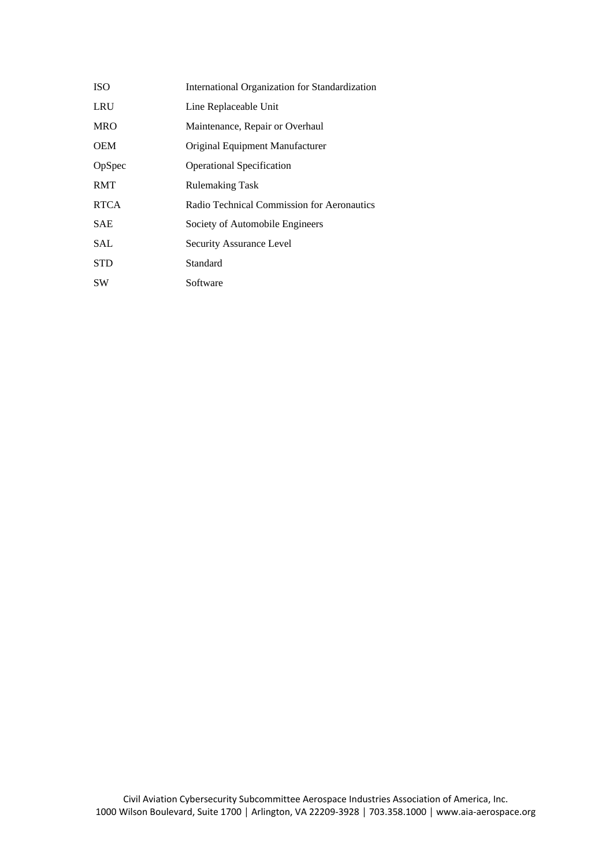| <b>ISO</b>  | International Organization for Standardization |
|-------------|------------------------------------------------|
| <b>LRU</b>  | Line Replaceable Unit                          |
| <b>MRO</b>  | Maintenance, Repair or Overhaul                |
| <b>OEM</b>  | Original Equipment Manufacturer                |
| OpSpec      | <b>Operational Specification</b>               |
| <b>RMT</b>  | <b>Rulemaking Task</b>                         |
| <b>RTCA</b> | Radio Technical Commission for Aeronautics     |
| <b>SAE</b>  | Society of Automobile Engineers                |
| SAL         | Security Assurance Level                       |
| STD         | Standard                                       |
| <b>SW</b>   | Software                                       |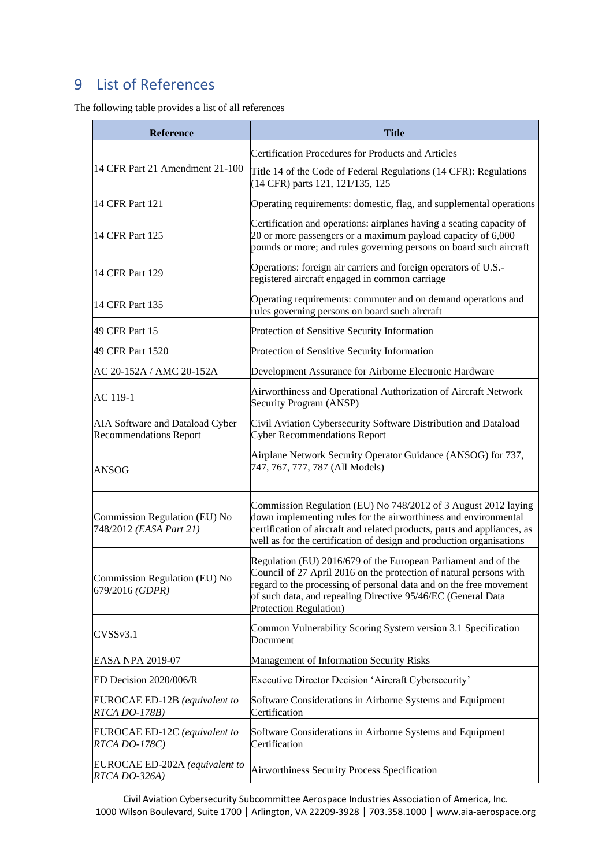# <span id="page-19-0"></span>9 List of References

The following table provides a list of all references

| <b>Reference</b>                                                 | <b>Title</b>                                                                                                                                                                                                                                                                                         |
|------------------------------------------------------------------|------------------------------------------------------------------------------------------------------------------------------------------------------------------------------------------------------------------------------------------------------------------------------------------------------|
| 14 CFR Part 21 Amendment 21-100                                  | Certification Procedures for Products and Articles<br>Title 14 of the Code of Federal Regulations (14 CFR): Regulations<br>(14 CFR) parts 121, 121/135, 125                                                                                                                                          |
| 14 CFR Part 121                                                  | Operating requirements: domestic, flag, and supplemental operations                                                                                                                                                                                                                                  |
| 14 CFR Part 125                                                  | Certification and operations: airplanes having a seating capacity of<br>20 or more passengers or a maximum payload capacity of 6,000<br>pounds or more; and rules governing persons on board such aircraft                                                                                           |
| 14 CFR Part 129                                                  | Operations: foreign air carriers and foreign operators of U.S.-<br>registered aircraft engaged in common carriage                                                                                                                                                                                    |
| 14 CFR Part 135                                                  | Operating requirements: commuter and on demand operations and<br>rules governing persons on board such aircraft                                                                                                                                                                                      |
| 49 CFR Part 15                                                   | Protection of Sensitive Security Information                                                                                                                                                                                                                                                         |
| 49 CFR Part 1520                                                 | Protection of Sensitive Security Information                                                                                                                                                                                                                                                         |
| AC 20-152A / AMC 20-152A                                         | Development Assurance for Airborne Electronic Hardware                                                                                                                                                                                                                                               |
| AC 119-1                                                         | Airworthiness and Operational Authorization of Aircraft Network<br>Security Program (ANSP)                                                                                                                                                                                                           |
| AIA Software and Dataload Cyber<br><b>Recommendations Report</b> | Civil Aviation Cybersecurity Software Distribution and Dataload<br><b>Cyber Recommendations Report</b>                                                                                                                                                                                               |
| <b>ANSOG</b>                                                     | Airplane Network Security Operator Guidance (ANSOG) for 737,<br>747, 767, 777, 787 (All Models)                                                                                                                                                                                                      |
| Commission Regulation (EU) No<br>748/2012 (EASA Part 21)         | Commission Regulation (EU) No 748/2012 of 3 August 2012 laying<br>down implementing rules for the airworthiness and environmental<br>certification of aircraft and related products, parts and appliances, as<br>well as for the certification of design and production organisations                |
| Commission Regulation (EU) No<br>679/2016 (GDPR)                 | Regulation (EU) 2016/679 of the European Parliament and of the<br>Council of 27 April 2016 on the protection of natural persons with<br>regard to the processing of personal data and on the free movement<br>of such data, and repealing Directive 95/46/EC (General Data<br>Protection Regulation) |
| CVSSv3.1                                                         | Common Vulnerability Scoring System version 3.1 Specification<br>Document                                                                                                                                                                                                                            |
| EASA NPA 2019-07                                                 | Management of Information Security Risks                                                                                                                                                                                                                                                             |
| ED Decision 2020/006/R                                           | Executive Director Decision 'Aircraft Cybersecurity'                                                                                                                                                                                                                                                 |
| EUROCAE ED-12B (equivalent to<br>RTCA DO-178B)                   | Software Considerations in Airborne Systems and Equipment<br>Certification                                                                                                                                                                                                                           |
| EUROCAE ED-12C (equivalent to<br>RTCA DO-178C)                   | Software Considerations in Airborne Systems and Equipment<br>Certification                                                                                                                                                                                                                           |
| EUROCAE ED-202A (equivalent to<br>RTCA DO-326A)                  | Airworthiness Security Process Specification                                                                                                                                                                                                                                                         |